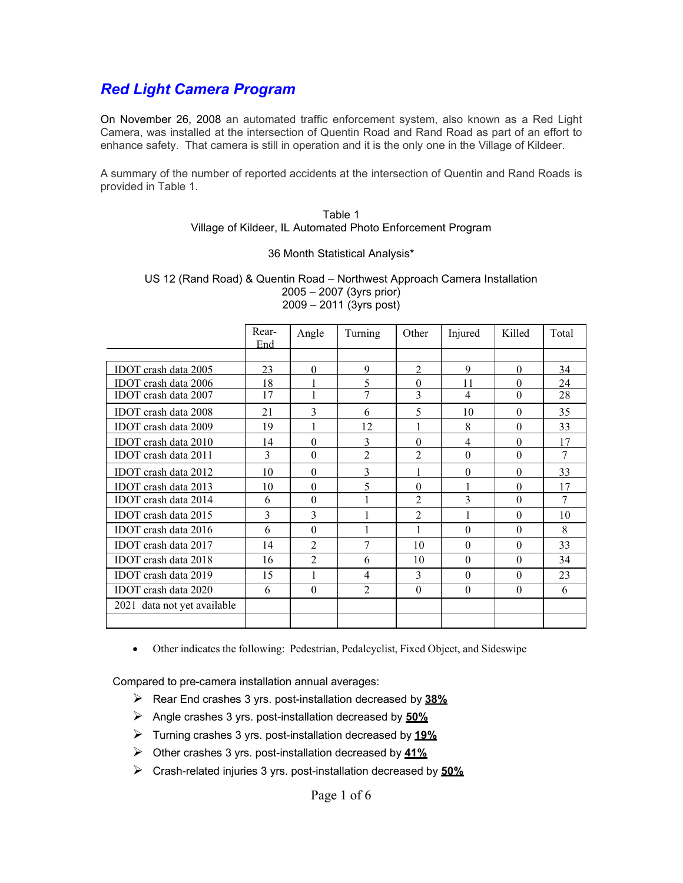### *Red Light Camera Program*

On November 26, 2008 an automated traffic enforcement system, also known as a Red Light Camera, was installed at the intersection of Quentin Road and Rand Road as part of an effort to enhance safety. That camera is still in operation and it is the only one in the Village of Kildeer.

A summary of the number of reported accidents at the intersection of Quentin and Rand Roads is provided in Table 1.

#### Table 1 Village of Kildeer, IL Automated Photo Enforcement Program

#### 36 Month Statistical Analysis\*

#### US 12 (Rand Road) & Quentin Road – Northwest Approach Camera Installation 2005 – 2007 (3yrs prior) 2009 – 2011 (3yrs post)

|                             | Rear-<br>End | Angle          | Turning        | Other          | Injured        | Killed   | Total |
|-----------------------------|--------------|----------------|----------------|----------------|----------------|----------|-------|
|                             |              |                |                |                |                |          |       |
| <b>IDOT</b> crash data 2005 | 23           | 0              | 9              | $\mathfrak{D}$ | 9              | $\Omega$ | 34    |
| <b>IDOT</b> crash data 2006 | 18           |                | $\varsigma$    | $\Omega$       | 11             | $\Omega$ | 24    |
| IDOT crash data 2007        | 17           | 1              | 7              | 3              | 4              | $\theta$ | 28    |
| <b>IDOT</b> crash data 2008 | 21           | 3              | 6              | 5              | 10             | $\theta$ | 35    |
| <b>IDOT</b> crash data 2009 | 19           | 1              | 12             | 1              | 8              | $\theta$ | 33    |
| IDOT crash data 2010        | 14           | $\theta$       | 3              | $\theta$       | $\overline{4}$ | $\Omega$ | 17    |
| IDOT crash data 2011        | 3            | $\theta$       | $\overline{2}$ | $\overline{2}$ | $\theta$       | $\theta$ | 7     |
| IDOT crash data 2012        | 10           | $\theta$       | 3              | 1              | $\theta$       | $\theta$ | 33    |
| IDOT crash data 2013        | 10           | $\theta$       | 5              | $\theta$       | 1              | $\theta$ | 17    |
| IDOT crash data 2014        | 6            | $\theta$       | $\mathbf{1}$   | $\overline{2}$ | 3              | $\theta$ | 7     |
| <b>IDOT</b> crash data 2015 | 3            | 3              | 1              | $\overline{2}$ | 1              | $\Omega$ | 10    |
| IDOT crash data 2016        | 6            | $\theta$       | 1              | 1              | $\theta$       | $\theta$ | 8     |
| IDOT crash data 2017        | 14           | $\mathfrak{D}$ | 7              | 10             | $\Omega$       | $\Omega$ | 33    |
| <b>IDOT</b> crash data 2018 | 16           | $\overline{2}$ | 6              | 10             | $\theta$       | $\theta$ | 34    |
| IDOT crash data 2019        | 15           | 1              | $\overline{4}$ | 3              | $\theta$       | $\theta$ | 23    |
| IDOT crash data 2020        | 6            | $\theta$       | $\mathfrak{D}$ | $\theta$       | $\theta$       | $\theta$ | 6     |
| 2021 data not yet available |              |                |                |                |                |          |       |
|                             |              |                |                |                |                |          |       |

• Other indicates the following: Pedestrian, Pedalcyclist, Fixed Object, and Sideswipe

Compared to pre-camera installation annual averages:

- ➢ Rear End crashes 3 yrs. post-installation decreased by **38%**
- ➢ Angle crashes 3 yrs. post-installation decreased by **50%**
- ➢ Turning crashes 3 yrs. post-installation decreased by **19%**
- ➢ Other crashes 3 yrs. post-installation decreased by **41%**
- ➢ Crash-related injuries 3 yrs. post-installation decreased by **50%**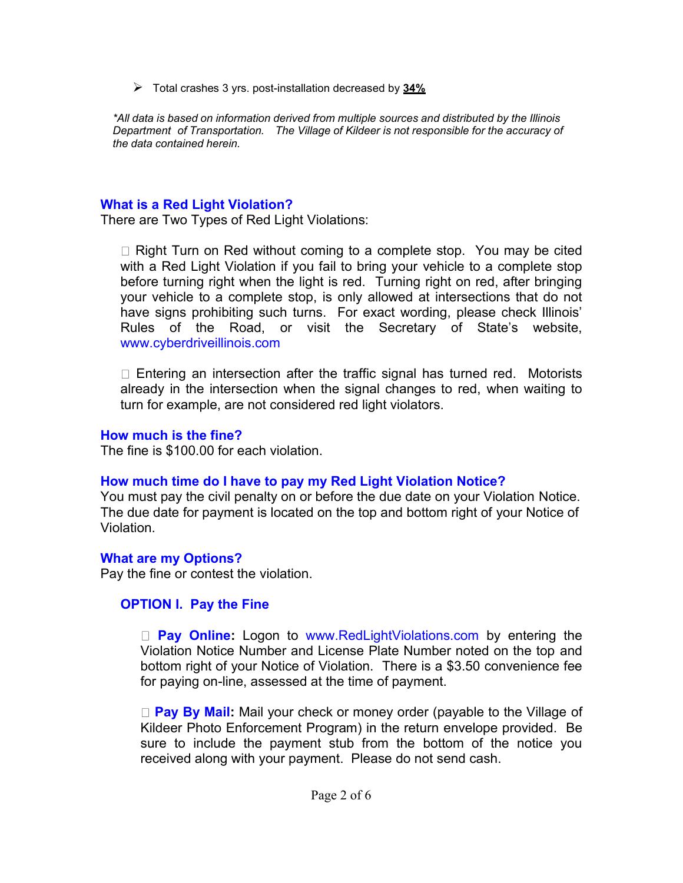➢ Total crashes 3 yrs. post-installation decreased by **34%**

*\*All data is based on information derived from multiple sources and distributed by the Illinois Department of Transportation. The Village of Kildeer is not responsible for the accuracy of the data contained herein.*

### **What is a Red Light Violation?**

There are Two Types of Red Light Violations:

 $\Box$  Right Turn on Red without coming to a complete stop. You may be cited with a Red Light Violation if you fail to bring your vehicle to a complete stop before turning right when the light is red. Turning right on red, after bringing your vehicle to a complete stop, is only allowed at intersections that do not have signs prohibiting such turns. For exact wording, please check Illinois' Rules of the Road, or visit the Secretary of State's website, www.cyberdriveillinois.com

 $\Box$  Entering an intersection after the traffic signal has turned red. Motorists already in the intersection when the signal changes to red, when waiting to turn for example, are not considered red light violators.

### **How much is the fine?**

The fine is \$100.00 for each violation.

### **How much time do I have to pay my Red Light Violation Notice?**

You must pay the civil penalty on or before the due date on your Violation Notice. The due date for payment is located on the top and bottom right of your Notice of Violation.

### **What are my Options?**

Pay the fine or contest the violation.

### **OPTION I. Pay the Fine**

□ **Pay Online:** Logon to www.RedLightViolations.com by entering the Violation Notice Number and License Plate Number noted on the top and bottom right of your Notice of Violation. There is a \$3.50 convenience fee for paying on-line, assessed at the time of payment.

**Pay By Mail:** Mail your check or money order (payable to the Village of Kildeer Photo Enforcement Program) in the return envelope provided. Be sure to include the payment stub from the bottom of the notice you received along with your payment. Please do not send cash.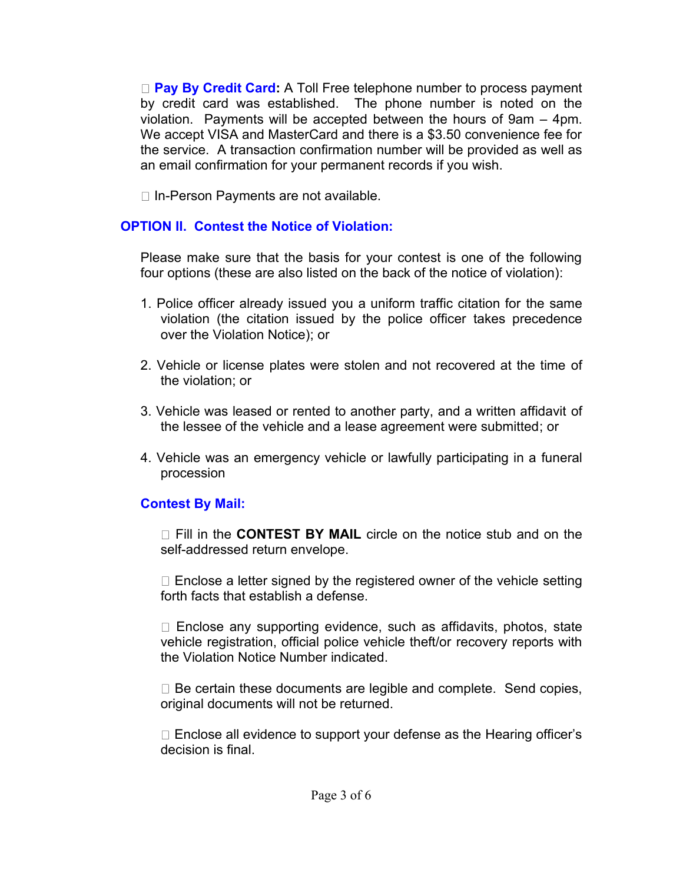□ **Pay By Credit Card:** A Toll Free telephone number to process payment by credit card was established. The phone number is noted on the violation. Payments will be accepted between the hours of 9am – 4pm. We accept VISA and MasterCard and there is a \$3.50 convenience fee for the service. A transaction confirmation number will be provided as well as an email confirmation for your permanent records if you wish.

 $\Box$  In-Person Payments are not available.

# **OPTION II. Contest the Notice of Violation:**

Please make sure that the basis for your contest is one of the following four options (these are also listed on the back of the notice of violation):

- 1. Police officer already issued you a uniform traffic citation for the same violation (the citation issued by the police officer takes precedence over the Violation Notice); or
- 2. Vehicle or license plates were stolen and not recovered at the time of the violation; or
- 3. Vehicle was leased or rented to another party, and a written affidavit of the lessee of the vehicle and a lease agreement were submitted; or
- 4. Vehicle was an emergency vehicle or lawfully participating in a funeral procession

# **Contest By Mail:**

Fill in the **CONTEST BY MAIL** circle on the notice stub and on the self-addressed return envelope.

 $\Box$  Enclose a letter signed by the registered owner of the vehicle setting forth facts that establish a defense.

 $\Box$  Enclose any supporting evidence, such as affidavits, photos, state vehicle registration, official police vehicle theft/or recovery reports with the Violation Notice Number indicated.

 $\Box$  Be certain these documents are legible and complete. Send copies, original documents will not be returned.

 $\Box$  Enclose all evidence to support your defense as the Hearing officer's decision is final.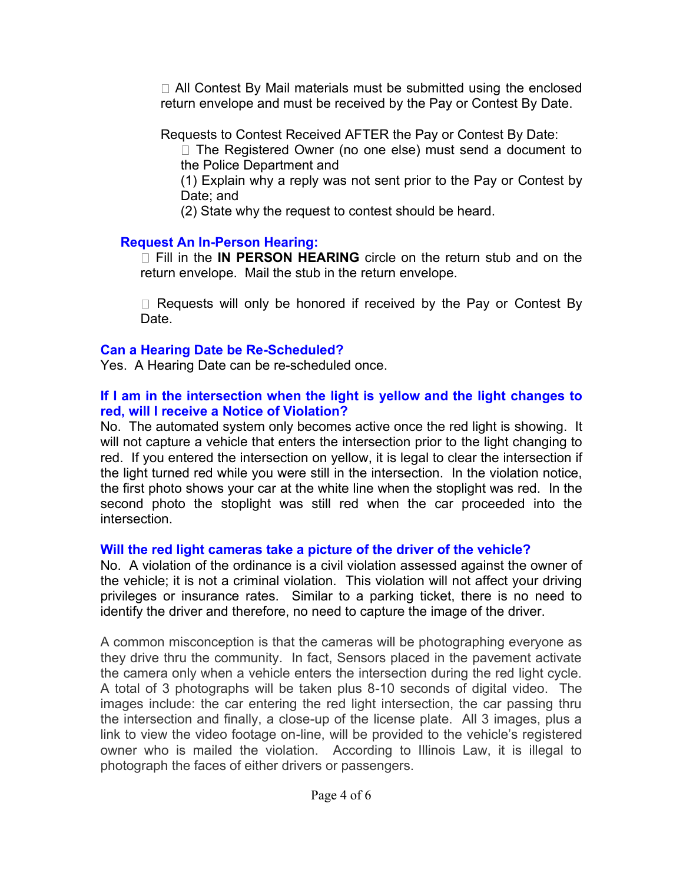$\Box$  All Contest By Mail materials must be submitted using the enclosed return envelope and must be received by the Pay or Contest By Date.

Requests to Contest Received AFTER the Pay or Contest By Date:

 $\Box$  The Registered Owner (no one else) must send a document to the Police Department and

(1) Explain why a reply was not sent prior to the Pay or Contest by Date; and

(2) State why the request to contest should be heard.

### **Request An In-Person Hearing:**

Fill in the **IN PERSON HEARING** circle on the return stub and on the return envelope. Mail the stub in the return envelope.

 $\Box$  Requests will only be honored if received by the Pay or Contest By Date.

### **Can a Hearing Date be Re-Scheduled?**

Yes. A Hearing Date can be re-scheduled once.

### **If I am in the intersection when the light is yellow and the light changes to red, will I receive a Notice of Violation?**

No. The automated system only becomes active once the red light is showing. It will not capture a vehicle that enters the intersection prior to the light changing to red. If you entered the intersection on yellow, it is legal to clear the intersection if the light turned red while you were still in the intersection. In the violation notice, the first photo shows your car at the white line when the stoplight was red. In the second photo the stoplight was still red when the car proceeded into the intersection.

# **Will the red light cameras take a picture of the driver of the vehicle?**

No. A violation of the ordinance is a civil violation assessed against the owner of the vehicle; it is not a criminal violation. This violation will not affect your driving privileges or insurance rates. Similar to a parking ticket, there is no need to identify the driver and therefore, no need to capture the image of the driver.

A common misconception is that the cameras will be photographing everyone as they drive thru the community. In fact, Sensors placed in the pavement activate the camera only when a vehicle enters the intersection during the red light cycle. A total of 3 photographs will be taken plus 8-10 seconds of digital video. The images include: the car entering the red light intersection, the car passing thru the intersection and finally, a close-up of the license plate. All 3 images, plus a link to view the video footage on-line, will be provided to the vehicle's registered owner who is mailed the violation. According to Illinois Law, it is illegal to photograph the faces of either drivers or passengers.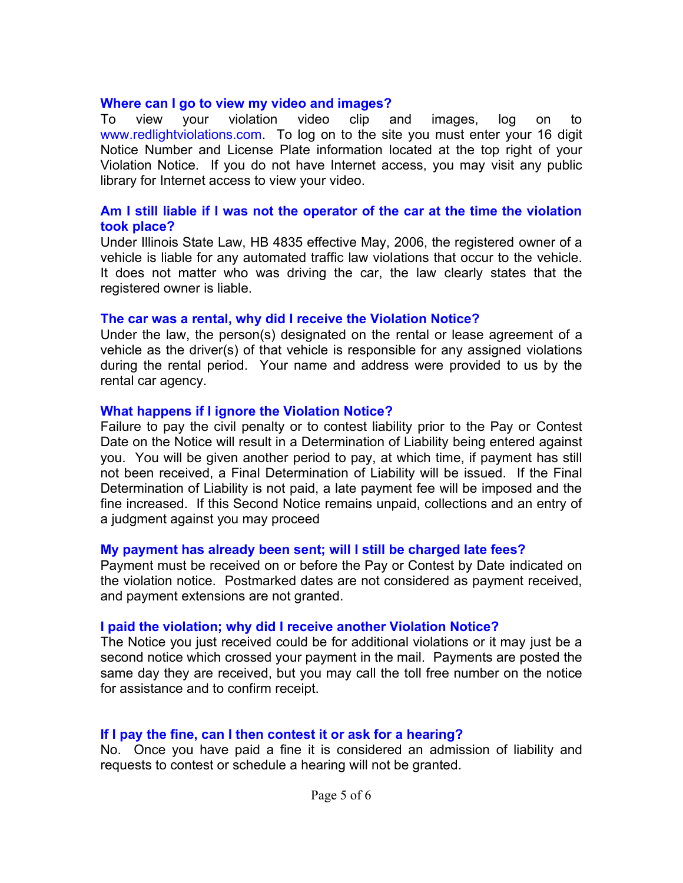#### **Where can I go to view my video and images?**

To view your violation video clip and images, log on to www.redlightviolations.com. To log on to the site you must enter your 16 digit Notice Number and License Plate information located at the top right of your Violation Notice. If you do not have Internet access, you may visit any public library for Internet access to view your video.

#### **Am I still liable if I was not the operator of the car at the time the violation took place?**

Under Illinois State Law, HB 4835 effective May, 2006, the registered owner of a vehicle is liable for any automated traffic law violations that occur to the vehicle. It does not matter who was driving the car, the law clearly states that the registered owner is liable.

#### **The car was a rental, why did I receive the Violation Notice?**

Under the law, the person(s) designated on the rental or lease agreement of a vehicle as the driver(s) of that vehicle is responsible for any assigned violations during the rental period. Your name and address were provided to us by the rental car agency.

#### **What happens if I ignore the Violation Notice?**

Failure to pay the civil penalty or to contest liability prior to the Pay or Contest Date on the Notice will result in a Determination of Liability being entered against you. You will be given another period to pay, at which time, if payment has still not been received, a Final Determination of Liability will be issued. If the Final Determination of Liability is not paid, a late payment fee will be imposed and the fine increased. If this Second Notice remains unpaid, collections and an entry of a judgment against you may proceed

#### **My payment has already been sent; will I still be charged late fees?**

Payment must be received on or before the Pay or Contest by Date indicated on the violation notice. Postmarked dates are not considered as payment received, and payment extensions are not granted.

#### **I paid the violation; why did I receive another Violation Notice?**

The Notice you just received could be for additional violations or it may just be a second notice which crossed your payment in the mail. Payments are posted the same day they are received, but you may call the toll free number on the notice for assistance and to confirm receipt.

#### **If I pay the fine, can I then contest it or ask for a hearing?**

No. Once you have paid a fine it is considered an admission of liability and requests to contest or schedule a hearing will not be granted.